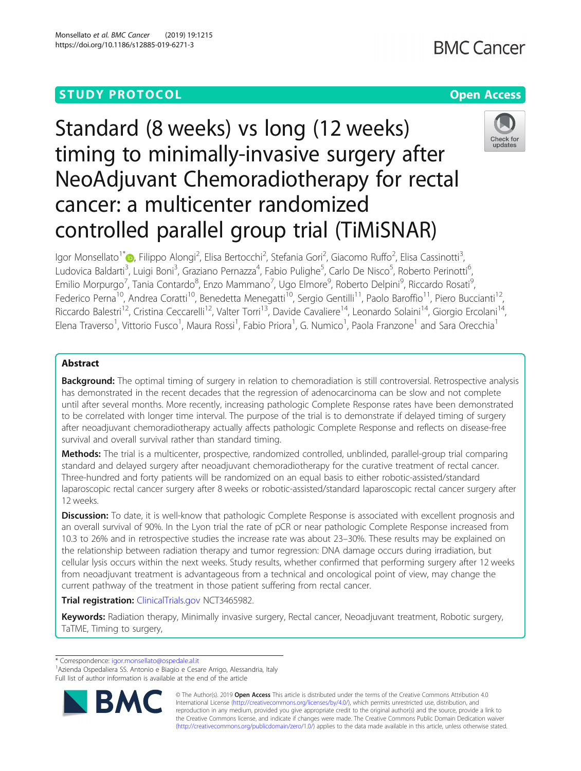# **STUDY PROTOCOL CONSUMING THE RESERVE ACCESS**

# **BMC Cancer**

# Standard (8 weeks) vs long (12 weeks) timing to minimally-invasive surgery after NeoAdjuvant Chemoradiotherapy for rectal cancer: a multicenter randomized controlled parallel group trial (TiMiSNAR)



lgor Monsellato<sup>1\*</sup>®[,](http://orcid.org/0000-0003-3096-7901) Filippo Alongi<sup>2</sup>, Elisa Bertocchi<sup>2</sup>, Stefania Gori<sup>2</sup>, Giacomo Ruffo<sup>2</sup>, Elisa Cassinotti<sup>3</sup> , Ludovica Baldarti<sup>3</sup>, Luigi Boni<sup>3</sup>, Graziano Pernazza<sup>4</sup>, Fabio Pulighe<sup>5</sup>, Carlo De Nisco<sup>5</sup>, Roberto Perinotti<sup>6</sup> י<br>, Emilio Morpurgo<sup>7</sup>, Tania Contardo<sup>8</sup>, Enzo Mammano<sup>7</sup>, Ugo Elmore<sup>9</sup>, Roberto Delpini<sup>9</sup>, Riccardo Rosati<sup>s</sup> , Federico Perna<sup>10</sup>, Andrea Coratti<sup>10</sup>, Benedetta Menegatti<sup>10</sup>, Sergio Gentilli<sup>11</sup>, Paolo Baroffio<sup>11</sup>, Piero Buccianti<sup>12</sup> Riccardo Balestri<sup>12</sup>, Cristina Ceccarelli<sup>12</sup>, Valter Torri<sup>13</sup>, Davide Cavaliere<sup>14</sup>, Leonardo Solaini<sup>14</sup>, Giorgio Ercolani<sup>14</sup>, Elena Traverso<sup>1</sup>, Vittorio Fusco<sup>1</sup>, Maura Rossi<sup>1</sup>, Fabio Priora<sup>1</sup>, G. Numico<sup>1</sup>, Paola Franzone<sup>1</sup> and Sara Orecchia<sup>1</sup>

# Abstract

Background: The optimal timing of surgery in relation to chemoradiation is still controversial. Retrospective analysis has demonstrated in the recent decades that the regression of adenocarcinoma can be slow and not complete until after several months. More recently, increasing pathologic Complete Response rates have been demonstrated to be correlated with longer time interval. The purpose of the trial is to demonstrate if delayed timing of surgery after neoadjuvant chemoradiotherapy actually affects pathologic Complete Response and reflects on disease-free survival and overall survival rather than standard timing.

Methods: The trial is a multicenter, prospective, randomized controlled, unblinded, parallel-group trial comparing standard and delayed surgery after neoadjuvant chemoradiotherapy for the curative treatment of rectal cancer. Three-hundred and forty patients will be randomized on an equal basis to either robotic-assisted/standard laparoscopic rectal cancer surgery after 8 weeks or robotic-assisted/standard laparoscopic rectal cancer surgery after 12 weeks.

**Discussion:** To date, it is well-know that pathologic Complete Response is associated with excellent prognosis and an overall survival of 90%. In the Lyon trial the rate of pCR or near pathologic Complete Response increased from 10.3 to 26% and in retrospective studies the increase rate was about 23–30%. These results may be explained on the relationship between radiation therapy and tumor regression: DNA damage occurs during irradiation, but cellular lysis occurs within the next weeks. Study results, whether confirmed that performing surgery after 12 weeks from neoadjuvant treatment is advantageous from a technical and oncological point of view, may change the current pathway of the treatment in those patient suffering from rectal cancer.

Trial registration: [ClinicalTrials.gov](http://clinicaltrials.gov) NCT3465982.

Keywords: Radiation therapy, Minimally invasive surgery, Rectal cancer, Neoadjuvant treatment, Robotic surgery, TaTME, Timing to surgery,

\* Correspondence: [igor.monsellato@ospedale.al.it](mailto:igor.monsellato@ospedale.al.it) <sup>1</sup>

<sup>1</sup> Azienda Ospedaliera SS. Antonio e Biagio e Cesare Arrigo, Alessandria, Italy Full list of author information is available at the end of the article



© The Author(s). 2019 Open Access This article is distributed under the terms of the Creative Commons Attribution 4.0 International License [\(http://creativecommons.org/licenses/by/4.0/](http://creativecommons.org/licenses/by/4.0/)), which permits unrestricted use, distribution, and reproduction in any medium, provided you give appropriate credit to the original author(s) and the source, provide a link to the Creative Commons license, and indicate if changes were made. The Creative Commons Public Domain Dedication waiver [\(http://creativecommons.org/publicdomain/zero/1.0/](http://creativecommons.org/publicdomain/zero/1.0/)) applies to the data made available in this article, unless otherwise stated.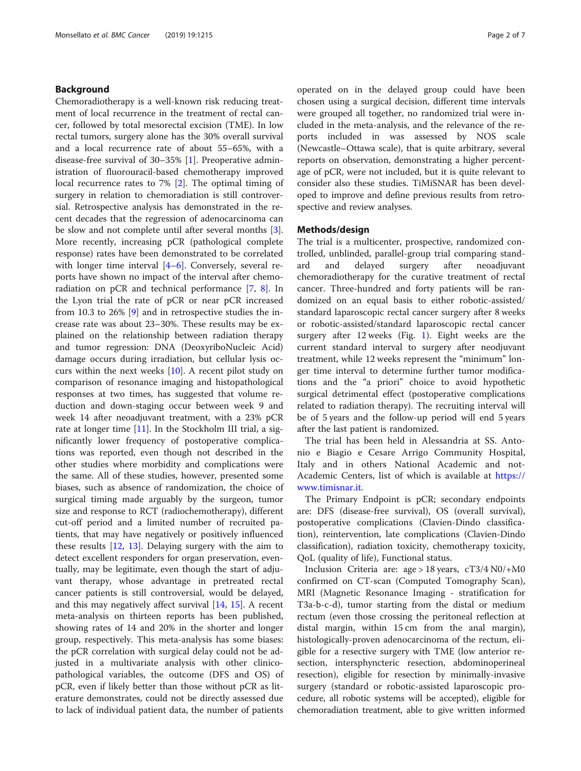# Background

Chemoradiotherapy is a well-known risk reducing treatment of local recurrence in the treatment of rectal cancer, followed by total mesorectal excision (TME). In low rectal tumors, surgery alone has the 30% overall survival and a local recurrence rate of about 55–65%, with a disease-free survival of 30–35% [[1\]](#page-5-0). Preoperative administration of fluorouracil-based chemotherapy improved local recurrence rates to 7% [\[2](#page-5-0)]. The optimal timing of surgery in relation to chemoradiation is still controversial. Retrospective analysis has demonstrated in the recent decades that the regression of adenocarcinoma can be slow and not complete until after several months [\[3](#page-6-0)]. More recently, increasing pCR (pathological complete response) rates have been demonstrated to be correlated with longer time interval [\[4](#page-6-0)–[6\]](#page-6-0). Conversely, several reports have shown no impact of the interval after chemoradiation on pCR and technical performance [\[7](#page-6-0), [8](#page-6-0)]. In the Lyon trial the rate of pCR or near pCR increased from 10.3 to 26% [[9\]](#page-6-0) and in retrospective studies the increase rate was about 23–30%. These results may be explained on the relationship between radiation therapy and tumor regression: DNA (DeoxyriboNucleic Acid) damage occurs during irradiation, but cellular lysis occurs within the next weeks [[10\]](#page-6-0). A recent pilot study on comparison of resonance imaging and histopathological responses at two times, has suggested that volume reduction and down-staging occur between week 9 and week 14 after neoadjuvant treatment, with a 23% pCR rate at longer time [\[11\]](#page-6-0). In the Stockholm III trial, a significantly lower frequency of postoperative complications was reported, even though not described in the other studies where morbidity and complications were the same. All of these studies, however, presented some biases, such as absence of randomization, the choice of surgical timing made arguably by the surgeon, tumor size and response to RCT (radiochemotherapy), different cut-off period and a limited number of recruited patients, that may have negatively or positively influenced these results [[12](#page-6-0), [13](#page-6-0)]. Delaying surgery with the aim to detect excellent responders for organ preservation, eventually, may be legitimate, even though the start of adjuvant therapy, whose advantage in pretreated rectal cancer patients is still controversial, would be delayed, and this may negatively affect survival [[14,](#page-6-0) [15](#page-6-0)]. A recent meta-analysis on thirteen reports has been published, showing rates of 14 and 20% in the shorter and longer group, respectively. This meta-analysis has some biases: the pCR correlation with surgical delay could not be adjusted in a multivariate analysis with other clinicopathological variables, the outcome (DFS and OS) of pCR, even if likely better than those without pCR as literature demonstrates, could not be directly assessed due to lack of individual patient data, the number of patients operated on in the delayed group could have been chosen using a surgical decision, different time intervals were grouped all together, no randomized trial were included in the meta-analysis, and the relevance of the reports included in was assessed by NOS scale (Newcastle–Ottawa scale), that is quite arbitrary, several reports on observation, demonstrating a higher percentage of pCR, were not included, but it is quite relevant to consider also these studies. TiMiSNAR has been developed to improve and define previous results from retrospective and review analyses.

# Methods/design

The trial is a multicenter, prospective, randomized controlled, unblinded, parallel-group trial comparing standard and delayed surgery after neoadjuvant chemoradiotherapy for the curative treatment of rectal cancer. Three-hundred and forty patients will be randomized on an equal basis to either robotic-assisted/ standard laparoscopic rectal cancer surgery after 8 weeks or robotic-assisted/standard laparoscopic rectal cancer surgery after  $12$  $12$  weeks (Fig. 1). Eight weeks are the current standard interval to surgery after neodjuvant treatment, while 12 weeks represent the "minimum" longer time interval to determine further tumor modifications and the "a priori" choice to avoid hypothetic surgical detrimental effect (postoperative complications related to radiation therapy). The recruiting interval will be of 5 years and the follow-up period will end 5 years after the last patient is randomized.

The trial has been held in Alessandria at SS. Antonio e Biagio e Cesare Arrigo Community Hospital, Italy and in others National Academic and not-Academic Centers, list of which is available at [https://](https://www.timisnar.it) [www.timisnar.it](https://www.timisnar.it).

The Primary Endpoint is pCR; secondary endpoints are: DFS (disease-free survival), OS (overall survival), postoperative complications (Clavien-Dindo classification), reintervention, late complications (Clavien-Dindo classification), radiation toxicity, chemotherapy toxicity, QoL (quality of life), Functional status.

Inclusion Criteria are: age > 18 years, cT3/4 N0/+M0 confirmed on CT-scan (Computed Tomography Scan), MRI (Magnetic Resonance Imaging - stratification for T3a-b-c-d), tumor starting from the distal or medium rectum (even those crossing the peritoneal reflection at distal margin, within 15 cm from the anal margin), histologically-proven adenocarcinoma of the rectum, eligible for a resective surgery with TME (low anterior resection, intersphyncteric resection, abdominoperineal resection), eligible for resection by minimally-invasive surgery (standard or robotic-assisted laparoscopic procedure, all robotic systems will be accepted), eligible for chemoradiation treatment, able to give written informed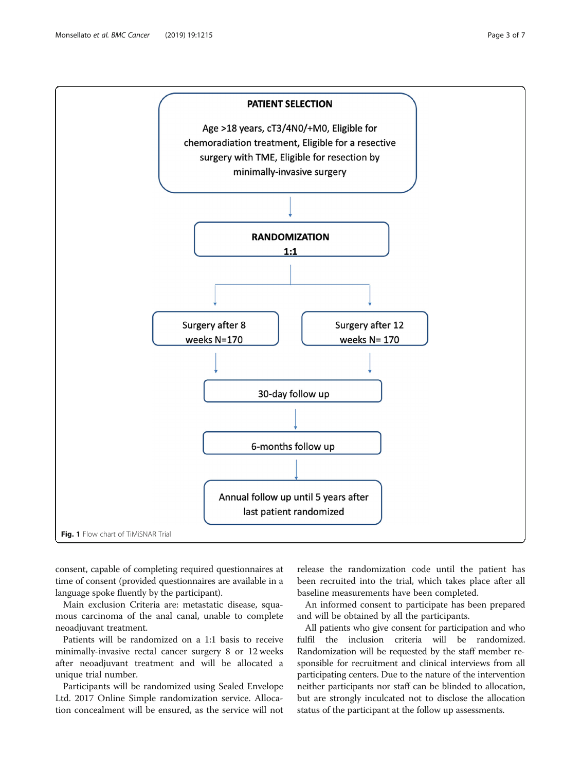<span id="page-2-0"></span>

consent, capable of completing required questionnaires at time of consent (provided questionnaires are available in a language spoke fluently by the participant).

Main exclusion Criteria are: metastatic disease, squamous carcinoma of the anal canal, unable to complete neoadjuvant treatment.

Patients will be randomized on a 1:1 basis to receive minimally-invasive rectal cancer surgery 8 or 12 weeks after neoadjuvant treatment and will be allocated a unique trial number.

Participants will be randomized using Sealed Envelope Ltd. 2017 Online Simple randomization service. Allocation concealment will be ensured, as the service will not

release the randomization code until the patient has been recruited into the trial, which takes place after all baseline measurements have been completed.

An informed consent to participate has been prepared and will be obtained by all the participants.

All patients who give consent for participation and who fulfil the inclusion criteria will be randomized. Randomization will be requested by the staff member responsible for recruitment and clinical interviews from all participating centers. Due to the nature of the intervention neither participants nor staff can be blinded to allocation, but are strongly inculcated not to disclose the allocation status of the participant at the follow up assessments.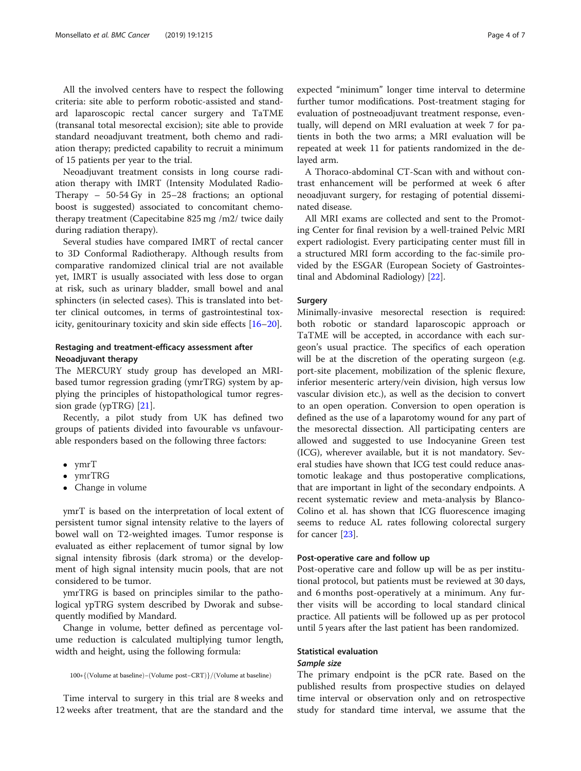All the involved centers have to respect the following criteria: site able to perform robotic-assisted and standard laparoscopic rectal cancer surgery and TaTME (transanal total mesorectal excision); site able to provide standard neoadjuvant treatment, both chemo and radiation therapy; predicted capability to recruit a minimum of 15 patients per year to the trial.

Neoadjuvant treatment consists in long course radiation therapy with IMRT (Intensity Modulated Radio-Therapy – 50-54 Gy in 25–28 fractions; an optional boost is suggested) associated to concomitant chemotherapy treatment (Capecitabine 825 mg /m2/ twice daily during radiation therapy).

Several studies have compared IMRT of rectal cancer to 3D Conformal Radiotherapy. Although results from comparative randomized clinical trial are not available yet, IMRT is usually associated with less dose to organ at risk, such as urinary bladder, small bowel and anal sphincters (in selected cases). This is translated into better clinical outcomes, in terms of gastrointestinal toxicity, genitourinary toxicity and skin side effects [\[16](#page-6-0)–[20\]](#page-6-0).

# Restaging and treatment-efficacy assessment after Neoadjuvant therapy

The MERCURY study group has developed an MRIbased tumor regression grading (ymrTRG) system by applying the principles of histopathological tumor regression grade (ypTRG) [[21\]](#page-6-0).

Recently, a pilot study from UK has defined two groups of patients divided into favourable vs unfavourable responders based on the following three factors:

- 
- ymrT<br>• ymrTRG
- $\overline{\text{Chanca}}$ Change in volume

ymrT is based on the interpretation of local extent of persistent tumor signal intensity relative to the layers of bowel wall on T2-weighted images. Tumor response is evaluated as either replacement of tumor signal by low signal intensity fibrosis (dark stroma) or the development of high signal intensity mucin pools, that are not considered to be tumor.

ymrTRG is based on principles similar to the pathological ypTRG system described by Dworak and subsequently modified by Mandard.

Change in volume, better defined as percentage volume reduction is calculated multiplying tumor length, width and height, using the following formula:

```
100*{(Volume at baseline)-(Volume post-CRT)}/(Volume at baseline)
```
Time interval to surgery in this trial are 8 weeks and 12 weeks after treatment, that are the standard and the

expected "minimum" longer time interval to determine further tumor modifications. Post-treatment staging for evaluation of postneoadjuvant treatment response, eventually, will depend on MRI evaluation at week 7 for patients in both the two arms; a MRI evaluation will be repeated at week 11 for patients randomized in the delayed arm.

A Thoraco-abdominal CT-Scan with and without contrast enhancement will be performed at week 6 after neoadjuvant surgery, for restaging of potential disseminated disease.

All MRI exams are collected and sent to the Promoting Center for final revision by a well-trained Pelvic MRI expert radiologist. Every participating center must fill in a structured MRI form according to the fac-simile provided by the ESGAR (European Society of Gastrointestinal and Abdominal Radiology) [[22](#page-6-0)].

### Surgery

Minimally-invasive mesorectal resection is required: both robotic or standard laparoscopic approach or TaTME will be accepted, in accordance with each surgeon's usual practice. The specifics of each operation will be at the discretion of the operating surgeon (e.g. port-site placement, mobilization of the splenic flexure, inferior mesenteric artery/vein division, high versus low vascular division etc.), as well as the decision to convert to an open operation. Conversion to open operation is defined as the use of a laparotomy wound for any part of the mesorectal dissection. All participating centers are allowed and suggested to use Indocyanine Green test (ICG), wherever available, but it is not mandatory. Several studies have shown that ICG test could reduce anastomotic leakage and thus postoperative complications, that are important in light of the secondary endpoints. A recent systematic review and meta-analysis by Blanco-Colino et al. has shown that ICG fluorescence imaging seems to reduce AL rates following colorectal surgery for cancer [\[23\]](#page-6-0).

#### Post-operative care and follow up

Post-operative care and follow up will be as per institutional protocol, but patients must be reviewed at 30 days, and 6 months post-operatively at a minimum. Any further visits will be according to local standard clinical practice. All patients will be followed up as per protocol until 5 years after the last patient has been randomized.

# Statistical evaluation Sample size

The primary endpoint is the pCR rate. Based on the published results from prospective studies on delayed time interval or observation only and on retrospective study for standard time interval, we assume that the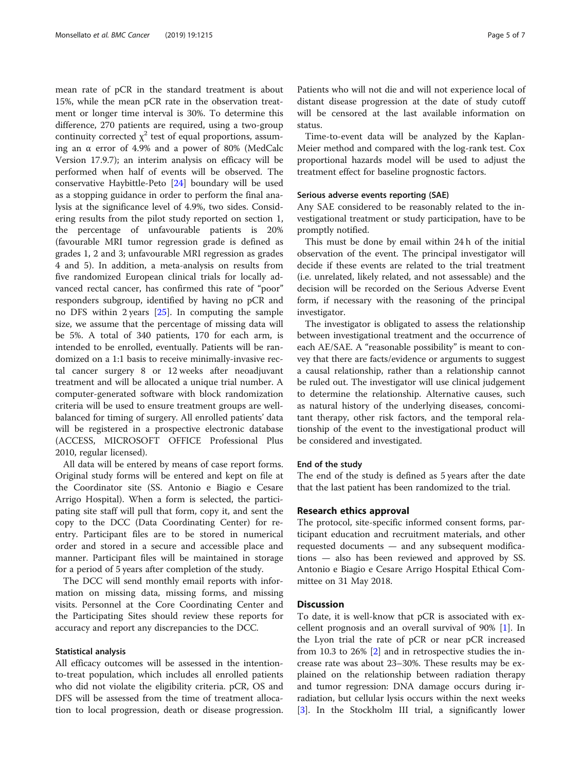mean rate of pCR in the standard treatment is about 15%, while the mean pCR rate in the observation treatment or longer time interval is 30%. To determine this difference, 270 patients are required, using a two-group continuity corrected  $\chi^2$  test of equal proportions, assuming an α error of 4.9% and a power of 80% (MedCalc Version 17.9.7); an interim analysis on efficacy will be performed when half of events will be observed. The conservative Haybittle-Peto [\[24](#page-6-0)] boundary will be used as a stopping guidance in order to perform the final analysis at the significance level of 4.9%, two sides. Considering results from the pilot study reported on section 1, the percentage of unfavourable patients is 20% (favourable MRI tumor regression grade is defined as grades 1, 2 and 3; unfavourable MRI regression as grades 4 and 5). In addition, a meta-analysis on results from five randomized European clinical trials for locally advanced rectal cancer, has confirmed this rate of "poor" responders subgroup, identified by having no pCR and no DFS within 2 years [\[25\]](#page-6-0). In computing the sample size, we assume that the percentage of missing data will be 5%. A total of 340 patients, 170 for each arm, is intended to be enrolled, eventually. Patients will be randomized on a 1:1 basis to receive minimally-invasive rectal cancer surgery 8 or 12 weeks after neoadjuvant treatment and will be allocated a unique trial number. A computer-generated software with block randomization criteria will be used to ensure treatment groups are wellbalanced for timing of surgery. All enrolled patients' data will be registered in a prospective electronic database (ACCESS, MICROSOFT OFFICE Professional Plus 2010, regular licensed).

All data will be entered by means of case report forms. Original study forms will be entered and kept on file at the Coordinator site (SS. Antonio e Biagio e Cesare Arrigo Hospital). When a form is selected, the participating site staff will pull that form, copy it, and sent the copy to the DCC (Data Coordinating Center) for reentry. Participant files are to be stored in numerical order and stored in a secure and accessible place and manner. Participant files will be maintained in storage for a period of 5 years after completion of the study.

The DCC will send monthly email reports with information on missing data, missing forms, and missing visits. Personnel at the Core Coordinating Center and the Participating Sites should review these reports for accuracy and report any discrepancies to the DCC.

#### Statistical analysis

All efficacy outcomes will be assessed in the intentionto-treat population, which includes all enrolled patients who did not violate the eligibility criteria. pCR, OS and DFS will be assessed from the time of treatment allocation to local progression, death or disease progression. Patients who will not die and will not experience local of distant disease progression at the date of study cutoff will be censored at the last available information on status.

Time-to-event data will be analyzed by the Kaplan-Meier method and compared with the log-rank test. Cox proportional hazards model will be used to adjust the treatment effect for baseline prognostic factors.

# Serious adverse events reporting (SAE)

Any SAE considered to be reasonably related to the investigational treatment or study participation, have to be promptly notified.

This must be done by email within 24 h of the initial observation of the event. The principal investigator will decide if these events are related to the trial treatment (i.e. unrelated, likely related, and not assessable) and the decision will be recorded on the Serious Adverse Event form, if necessary with the reasoning of the principal investigator.

The investigator is obligated to assess the relationship between investigational treatment and the occurrence of each AE/SAE. A "reasonable possibility" is meant to convey that there are facts/evidence or arguments to suggest a causal relationship, rather than a relationship cannot be ruled out. The investigator will use clinical judgement to determine the relationship. Alternative causes, such as natural history of the underlying diseases, concomitant therapy, other risk factors, and the temporal relationship of the event to the investigational product will be considered and investigated.

### End of the study

The end of the study is defined as 5 years after the date that the last patient has been randomized to the trial.

### Research ethics approval

The protocol, site-specific informed consent forms, participant education and recruitment materials, and other requested documents — and any subsequent modifications — also has been reviewed and approved by SS. Antonio e Biagio e Cesare Arrigo Hospital Ethical Committee on 31 May 2018.

# **Discussion**

To date, it is well-know that pCR is associated with excellent prognosis and an overall survival of 90% [[1](#page-5-0)]. In the Lyon trial the rate of pCR or near pCR increased from 10.3 to 26% [[2\]](#page-5-0) and in retrospective studies the increase rate was about 23–30%. These results may be explained on the relationship between radiation therapy and tumor regression: DNA damage occurs during irradiation, but cellular lysis occurs within the next weeks [[3\]](#page-6-0). In the Stockholm III trial, a significantly lower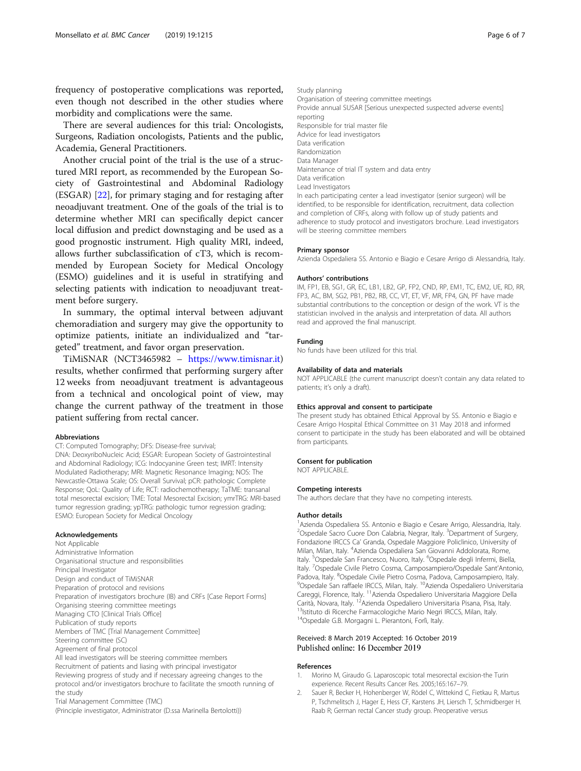<span id="page-5-0"></span>frequency of postoperative complications was reported, even though not described in the other studies where morbidity and complications were the same.

There are several audiences for this trial: Oncologists, Surgeons, Radiation oncologists, Patients and the public, Academia, General Practitioners.

Another crucial point of the trial is the use of a structured MRI report, as recommended by the European Society of Gastrointestinal and Abdominal Radiology (ESGAR) [[22\]](#page-6-0), for primary staging and for restaging after neoadjuvant treatment. One of the goals of the trial is to determine whether MRI can specifically depict cancer local diffusion and predict downstaging and be used as a good prognostic instrument. High quality MRI, indeed, allows further subclassification of cT3, which is recommended by European Society for Medical Oncology (ESMO) guidelines and it is useful in stratifying and selecting patients with indication to neoadjuvant treatment before surgery.

In summary, the optimal interval between adjuvant chemoradiation and surgery may give the opportunity to optimize patients, initiate an individualized and "targeted" treatment, and favor organ preservation.

TiMiSNAR (NCT3465982 – <https://www.timisnar.it>) results, whether confirmed that performing surgery after 12 weeks from neoadjuvant treatment is advantageous from a technical and oncological point of view, may change the current pathway of the treatment in those patient suffering from rectal cancer.

#### Abbreviations

CT: Computed Tomography; DFS: Disease-free survival;

DNA: DeoxyriboNucleic Acid; ESGAR: European Society of Gastrointestinal and Abdominal Radiology; ICG: Indocyanine Green test; IMRT: Intensity Modulated Radiotherapy; MRI: Magnetic Resonance Imaging; NOS: The Newcastle-Ottawa Scale; OS: Overall Survival; pCR: pathologic Complete Response; QoL: Quality of Life; RCT: radiochemotherapy; TaTME: transanal total mesorectal excision; TME: Total Mesorectal Excision; ymrTRG: MRI-based tumor regression grading; ypTRG: pathologic tumor regression grading; ESMO: European Society for Medical Oncology

#### Acknowledgements

Not Applicable Administrative Information Organisational structure and responsibilities Principal Investigator Design and conduct of TiMiSNAR Preparation of protocol and revisions Preparation of investigators brochure (IB) and CRFs [Case Report Forms] Organising steering committee meetings Managing CTO [Clinical Trials Office] Publication of study reports Members of TMC [Trial Management Committee] Steering committee (SC) Agreement of final protocol All lead investigators will be steering committee members Recruitment of patients and liasing with principal investigator Reviewing progress of study and if necessary agreeing changes to the protocol and/or investigators brochure to facilitate the smooth running of the study Trial Management Committee (TMC)

(Principle investigator, Administrator (D.ssa Marinella Bertolotti))

Study planning Organisation of steering committee meetings Provide annual SUSAR [Serious unexpected suspected adverse events] reporting Responsible for trial master file Advice for lead investigators Data verification Randomization Data Manager Maintenance of trial IT system and data entry Data verification Lead Investigators In each participating center a lead investigator (senior surgeon) will be identified, to be responsible for identification, recruitment, data collection and completion of CRFs, along with follow up of study patients and adherence to study protocol and investigators brochure. Lead investigators will be steering committee members

#### Primary sponsor

Azienda Ospedaliera SS. Antonio e Biagio e Cesare Arrigo di Alessandria, Italy.

#### Authors' contributions

IM, FP1, EB, SG1, GR, EC, LB1, LB2, GP, FP2, CND, RP, EM1, TC, EM2, UE, RD, RR, FP3, AC, BM, SG2, PB1, PB2, RB, CC, VT, ET, VF, MR, FP4, GN, PF have made substantial contributions to the conception or design of the work. VT is the statistician involved in the analysis and interpretation of data. All authors read and approved the final manuscript.

#### Funding

No funds have been utilized for this trial.

#### Availability of data and materials

NOT APPLICABLE (the current manuscript doesn't contain any data related to patients; it's only a draft).

#### Ethics approval and consent to participate

The present study has obtained Ethical Approval by SS. Antonio e Biagio e Cesare Arrigo Hospital Ethical Committee on 31 May 2018 and informed consent to participate in the study has been elaborated and will be obtained from participants.

#### Consent for publication

NOT APPLICABLE.

#### Competing interests

The authors declare that they have no competing interests.

#### Author details

<sup>1</sup> Azienda Ospedaliera SS. Antonio e Biagio e Cesare Arrigo, Alessandria, Italy. <sup>2</sup>Ospedale Sacro Cuore Don Calabria, Negrar, Italy. <sup>3</sup>Department of Surgery, Fondazione IRCCS Ca' Granda, Ospedale Maggiore Policlinico, University of Milan, Milan, Italy. <sup>4</sup> Azienda Ospedaliera San Giovanni Addolorata, Rome, Italy. <sup>5</sup>Ospedale San Francesco, Nuoro, Italy. <sup>6</sup>Ospedale degli Infermi, Biella, Italy. <sup>7</sup>Ospedale Civile Pietro Cosma, Camposampiero/Ospedale Sant'Antonio Padova, Italy. <sup>8</sup>Ospedale Civile Pietro Cosma, Padova, Camposampiero, Italy<br><sup>9</sup>Ospedale San raffode IPCCS, Milan, Italy. <sup>19</sup>Azionda Ospedaliero, Universitat <sup>9</sup>Ospedale San raffaele IRCCS, Milan, Italy. <sup>10</sup>Azienda Ospedaliero Universitaria Careggi, Florence, Italy. 11Azienda Ospedaliero Universitaria Maggiore Della Carità, Novara, Italy. <sup>12</sup>Azienda Ospedaliero Universitaria Pisana, Pisa, Italy.<br><sup>13</sup>Istituto di Ricerche Farmacologiche Mario Negri IRCCS, Milan, Italy. 14Ospedale G.B. Morgagni L. Pierantoni, Forlì, Italy.

## Received: 8 March 2019 Accepted: 16 October 2019 Published online: 16 December 2019

#### References

- 1. Morino M, Giraudo G. Laparoscopic total mesorectal excision-the Turin experience. Recent Results Cancer Res. 2005;165:167–79.
- 2. Sauer R, Becker H, Hohenberger W, Rödel C, Wittekind C, Fietkau R, Martus P, Tschmelitsch J, Hager E, Hess CF, Karstens JH, Liersch T, Schmidberger H. Raab R; German rectal Cancer study group. Preoperative versus